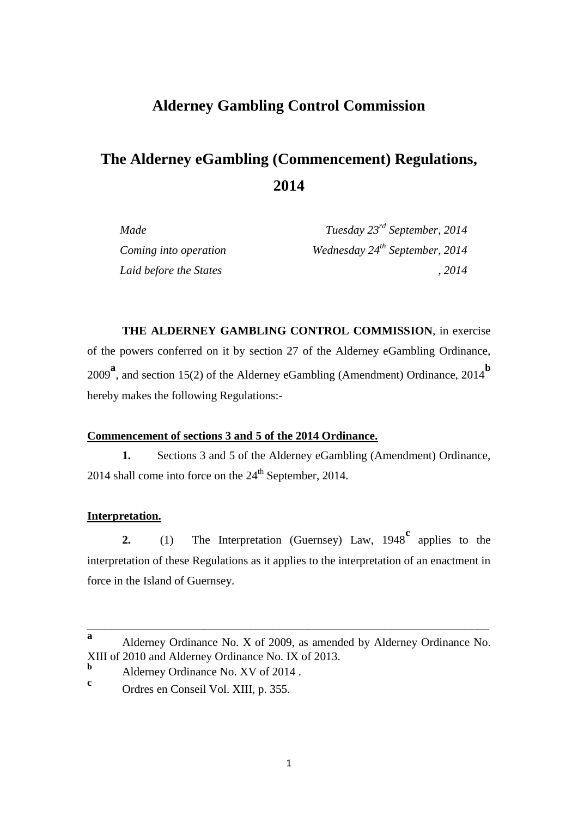## **Alderney Gambling Control Commission**

# **The Alderney eGambling (Commencement) Regulations, 2014**

| Made                   | Tuesday $23^{rd}$ September, 2014   |
|------------------------|-------------------------------------|
| Coming into operation  | Wednesday $24^{th}$ September, 2014 |
| Laid before the States | .2014                               |

**THE ALDERNEY GAMBLING CONTROL COMMISSION**, in exercise of the powers conferred on it by section 27 of the Alderney eGambling Ordinance, <sup>2009</sup>**<sup>a</sup>** , and section 15(2) of the Alderney eGambling (Amendment) Ordinance, 2014**<sup>b</sup>** hereby makes the following Regulations:-

#### **Commencement of sections 3 and 5 of the 2014 Ordinance.**

**1.** Sections 3 and 5 of the Alderney eGambling (Amendment) Ordinance, 2014 shall come into force on the  $24<sup>th</sup>$  September, 2014.

#### **Interpretation.**

**2.** (1) The Interpretation (Guernsey) Law, 1948<sup>c</sup> applies to the interpretation of these Regulations as it applies to the interpretation of an enactment in force in the Island of Guernsey.

\_\_\_\_\_\_\_\_\_\_\_\_\_\_\_\_\_\_\_\_\_\_\_\_\_\_\_\_\_\_\_\_\_\_\_\_\_\_\_\_\_\_\_\_\_\_\_\_\_\_\_\_\_\_\_\_\_\_\_\_\_\_\_\_\_\_\_\_\_

**a** Alderney Ordinance No. X of 2009, as amended by Alderney Ordinance No. XIII of 2010 and Alderney Ordinance No. IX of 2013.

**<sup>b</sup>** Alderney Ordinance No. XV of 2014 .

**c** Ordres en Conseil Vol. XIII, p. 355.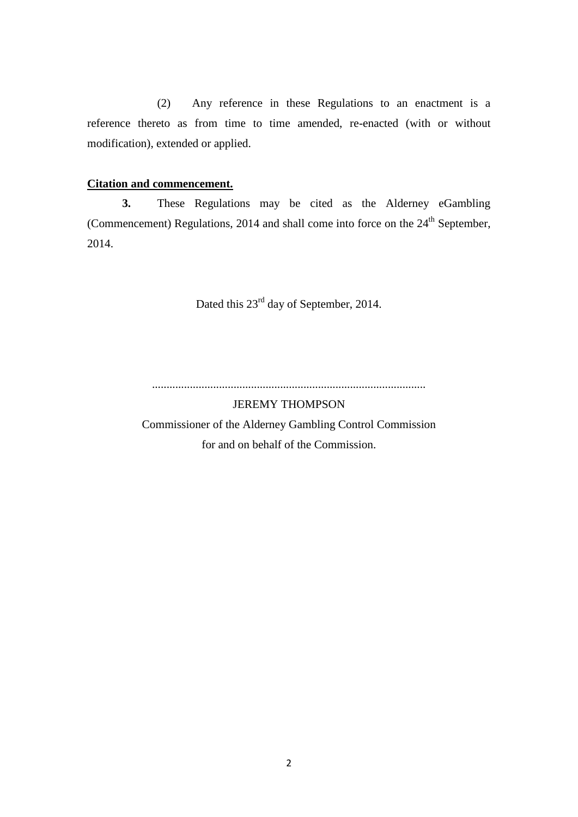(2) Any reference in these Regulations to an enactment is a reference thereto as from time to time amended, re-enacted (with or without modification), extended or applied.

#### **Citation and commencement.**

**3.** These Regulations may be cited as the Alderney eGambling (Commencement) Regulations, 2014 and shall come into force on the  $24<sup>th</sup>$  September, 2014.

Dated this  $23<sup>rd</sup>$  day of September, 2014.

..............................................................................................

JEREMY THOMPSON

Commissioner of the Alderney Gambling Control Commission for and on behalf of the Commission.